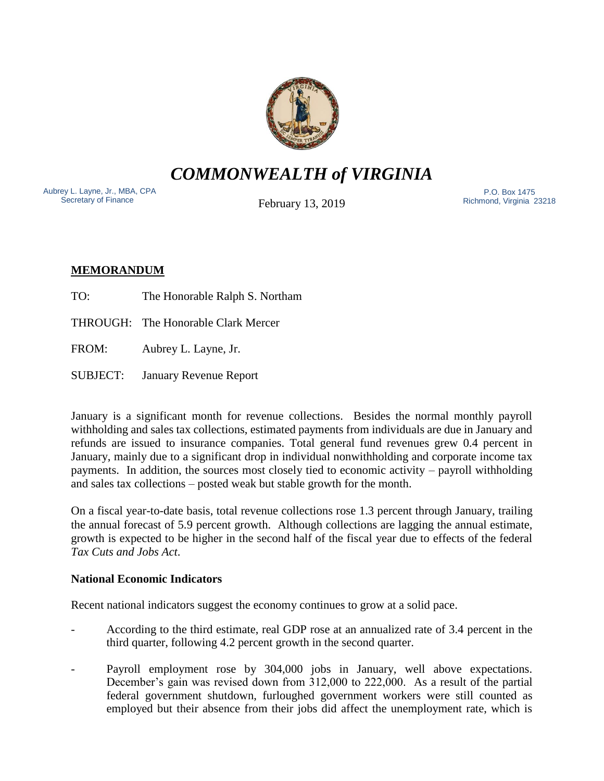

*COMMONWEALTH of VIRGINIA*

Aubrey L. Layne, Jr., MBA, CPA Secretary of Finance

February 13, 2019

 P.O. Box 1475 Richmond, Virginia 23218

# **MEMORANDUM**

- TO: The Honorable Ralph S. Northam
- THROUGH: The Honorable Clark Mercer
- FROM: Aubrey L. Layne, Jr.
- SUBJECT: January Revenue Report

January is a significant month for revenue collections. Besides the normal monthly payroll withholding and sales tax collections, estimated payments from individuals are due in January and refunds are issued to insurance companies. Total general fund revenues grew 0.4 percent in January, mainly due to a significant drop in individual nonwithholding and corporate income tax payments. In addition, the sources most closely tied to economic activity – payroll withholding and sales tax collections – posted weak but stable growth for the month.

On a fiscal year-to-date basis, total revenue collections rose 1.3 percent through January, trailing the annual forecast of 5.9 percent growth. Although collections are lagging the annual estimate, growth is expected to be higher in the second half of the fiscal year due to effects of the federal *Tax Cuts and Jobs Act*.

## **National Economic Indicators**

Recent national indicators suggest the economy continues to grow at a solid pace.

- According to the third estimate, real GDP rose at an annualized rate of 3.4 percent in the third quarter, following 4.2 percent growth in the second quarter.
- Payroll employment rose by 304,000 jobs in January, well above expectations. December's gain was revised down from 312,000 to 222,000. As a result of the partial federal government shutdown, furloughed government workers were still counted as employed but their absence from their jobs did affect the unemployment rate, which is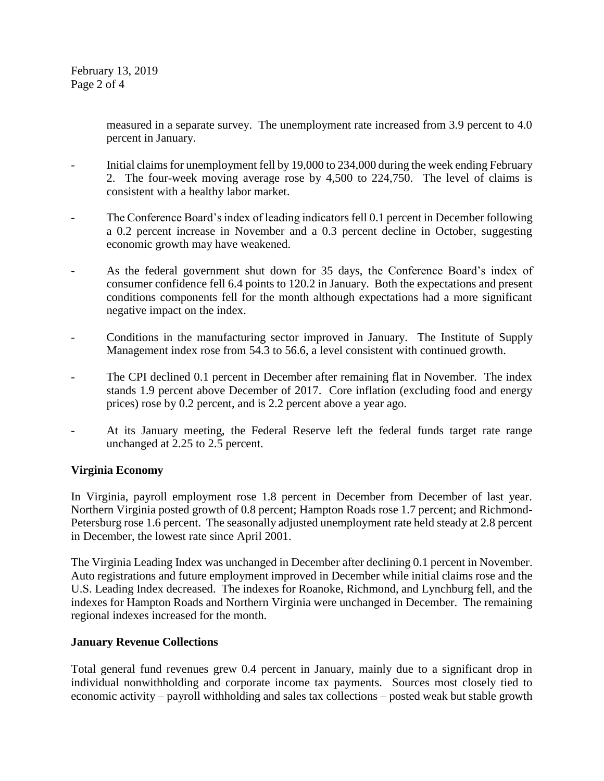February 13, 2019 Page 2 of 4

> measured in a separate survey. The unemployment rate increased from 3.9 percent to 4.0 percent in January.

- Initial claims for unemployment fell by 19,000 to 234,000 during the week ending February 2. The four-week moving average rose by 4,500 to 224,750. The level of claims is consistent with a healthy labor market.
- The Conference Board's index of leading indicators fell 0.1 percent in December following a 0.2 percent increase in November and a 0.3 percent decline in October, suggesting economic growth may have weakened.
- As the federal government shut down for 35 days, the Conference Board's index of consumer confidence fell 6.4 points to 120.2 in January. Both the expectations and present conditions components fell for the month although expectations had a more significant negative impact on the index.
- Conditions in the manufacturing sector improved in January. The Institute of Supply Management index rose from 54.3 to 56.6, a level consistent with continued growth.
- The CPI declined 0.1 percent in December after remaining flat in November. The index stands 1.9 percent above December of 2017. Core inflation (excluding food and energy prices) rose by 0.2 percent, and is 2.2 percent above a year ago.
- At its January meeting, the Federal Reserve left the federal funds target rate range unchanged at 2.25 to 2.5 percent.

### **Virginia Economy**

In Virginia, payroll employment rose 1.8 percent in December from December of last year. Northern Virginia posted growth of 0.8 percent; Hampton Roads rose 1.7 percent; and Richmond-Petersburg rose 1.6 percent. The seasonally adjusted unemployment rate held steady at 2.8 percent in December, the lowest rate since April 2001.

The Virginia Leading Index was unchanged in December after declining 0.1 percent in November. Auto registrations and future employment improved in December while initial claims rose and the U.S. Leading Index decreased. The indexes for Roanoke, Richmond, and Lynchburg fell, and the indexes for Hampton Roads and Northern Virginia were unchanged in December. The remaining regional indexes increased for the month.

### **January Revenue Collections**

Total general fund revenues grew 0.4 percent in January, mainly due to a significant drop in individual nonwithholding and corporate income tax payments. Sources most closely tied to economic activity – payroll withholding and sales tax collections – posted weak but stable growth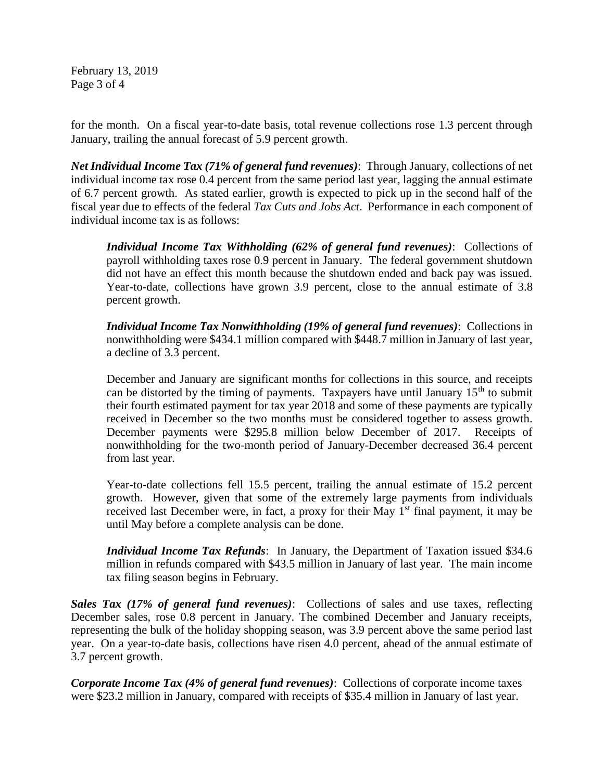February 13, 2019 Page 3 of 4

for the month. On a fiscal year-to-date basis, total revenue collections rose 1.3 percent through January, trailing the annual forecast of 5.9 percent growth.

*Net Individual Income Tax (71% of general fund revenues)*: Through January, collections of net individual income tax rose 0.4 percent from the same period last year, lagging the annual estimate of 6.7 percent growth. As stated earlier, growth is expected to pick up in the second half of the fiscal year due to effects of the federal *Tax Cuts and Jobs Act*. Performance in each component of individual income tax is as follows:

*Individual Income Tax Withholding (62% of general fund revenues)*: Collections of payroll withholding taxes rose 0.9 percent in January. The federal government shutdown did not have an effect this month because the shutdown ended and back pay was issued. Year-to-date, collections have grown 3.9 percent, close to the annual estimate of 3.8 percent growth.

*Individual Income Tax Nonwithholding (19% of general fund revenues)*: Collections in nonwithholding were \$434.1 million compared with \$448.7 million in January of last year, a decline of 3.3 percent.

December and January are significant months for collections in this source, and receipts can be distorted by the timing of payments. Taxpayers have until January  $15<sup>th</sup>$  to submit their fourth estimated payment for tax year 2018 and some of these payments are typically received in December so the two months must be considered together to assess growth. December payments were \$295.8 million below December of 2017. Receipts of nonwithholding for the two-month period of January-December decreased 36.4 percent from last year.

Year-to-date collections fell 15.5 percent, trailing the annual estimate of 15.2 percent growth. However, given that some of the extremely large payments from individuals received last December were, in fact, a proxy for their May  $1<sup>st</sup>$  final payment, it may be until May before a complete analysis can be done.

*Individual Income Tax Refunds*: In January, the Department of Taxation issued \$34.6 million in refunds compared with \$43.5 million in January of last year. The main income tax filing season begins in February.

*Sales Tax (17% of general fund revenues)*: Collections of sales and use taxes, reflecting December sales, rose 0.8 percent in January. The combined December and January receipts, representing the bulk of the holiday shopping season, was 3.9 percent above the same period last year. On a year-to-date basis, collections have risen 4.0 percent, ahead of the annual estimate of 3.7 percent growth.

*Corporate Income Tax (4% of general fund revenues)*: Collections of corporate income taxes were \$23.2 million in January, compared with receipts of \$35.4 million in January of last year.